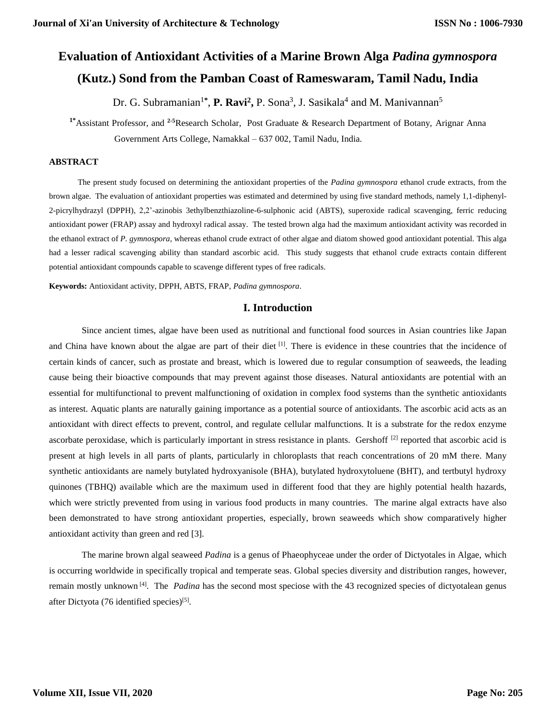# **Evaluation of Antioxidant Activities of a Marine Brown Alga** *Padina gymnospora*  **(Kutz.) Sond from the Pamban Coast of Rameswaram, Tamil Nadu, India**

Dr. G. Subramanian<sup>1\*</sup>, P. Ravi<sup>2</sup>, P. Sona<sup>3</sup>, J. Sasikala<sup>4</sup> and M. Manivannan<sup>5</sup>

**1\***Assistant Professor, and **2-5**Research Scholar, Post Graduate & Research Department of Botany, Arignar Anna Government Arts College, Namakkal – 637 002, Tamil Nadu, India.

## **ABSTRACT**

The present study focused on determining the antioxidant properties of the *Padina gymnospora* ethanol crude extracts, from the brown algae. The evaluation of antioxidant properties was estimated and determined by using five standard methods, namely 1,1-diphenyl-2-picrylhydrazyl (DPPH), 2,2'-azinobis 3ethylbenzthiazoline-6-sulphonic acid (ABTS), superoxide radical scavenging, ferric reducing antioxidant power (FRAP) assay and hydroxyl radical assay. The tested brown alga had the maximum antioxidant activity was recorded in the ethanol extract of *P. gymnospora*, whereas ethanol crude extract of other algae and diatom showed good antioxidant potential. This alga had a lesser radical scavenging ability than standard ascorbic acid. This study suggests that ethanol crude extracts contain different potential antioxidant compounds capable to scavenge different types of free radicals.

**Keywords:** Antioxidant activity, DPPH, ABTS, FRAP, *Padina gymnospora*.

## **I. Introduction**

Since ancient times, algae have been used as nutritional and functional food sources in Asian countries like Japan and China have known about the algae are part of their diet <sup>[1]</sup>. There is evidence in these countries that the incidence of certain kinds of cancer, such as prostate and breast, which is lowered due to regular consumption of seaweeds, the leading cause being their bioactive compounds that may prevent against those diseases. Natural antioxidants are potential with an essential for multifunctional to prevent malfunctioning of oxidation in complex food systems than the synthetic antioxidants as interest. Aquatic plants are naturally gaining importance as a potential source of antioxidants. The ascorbic acid acts as an antioxidant with direct effects to prevent, control, and regulate cellular malfunctions. It is a substrate for the redox enzyme ascorbate peroxidase, which is particularly important in stress resistance in plants. Gershoff  $[2]$  reported that ascorbic acid is present at high levels in all parts of plants, particularly in chloroplasts that reach concentrations of 20 mM there. Many synthetic antioxidants are namely butylated hydroxyanisole (BHA), butylated hydroxytoluene (BHT), and tertbutyl hydroxy quinones (TBHQ) available which are the maximum used in different food that they are highly potential health hazards, which were strictly prevented from using in various food products in many countries. The marine algal extracts have also been demonstrated to have strong antioxidant properties, especially, brown seaweeds which show comparatively higher antioxidant activity than green and red [3].

The marine brown algal seaweed *Padina* is a genus of Phaeophyceae under the order of Dictyotales in Algae, which is occurring worldwide in specifically tropical and temperate seas. Global species diversity and distribution ranges, however, remain mostly unknown<sup>[4]</sup>. The *Padina* has the second most speciose with the 43 recognized species of dictyotalean genus after Dictyota (76 identified species)<sup>[5]</sup>.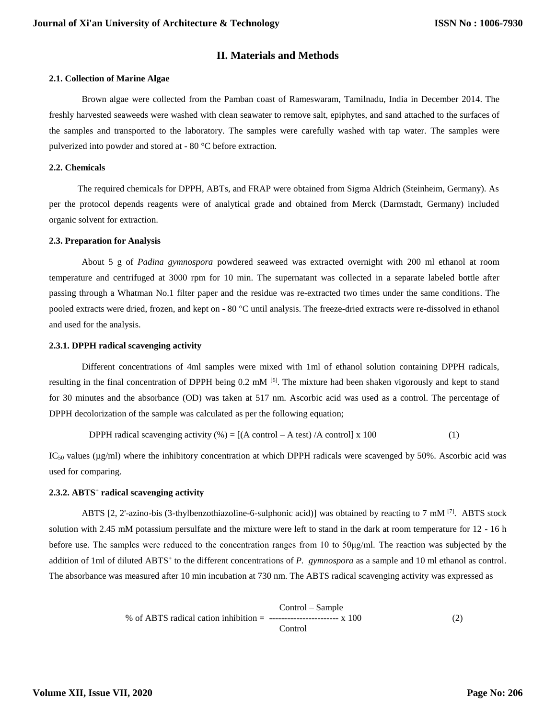# **II. Materials and Methods**

#### **2.1. Collection of Marine Algae**

Brown algae were collected from the Pamban coast of Rameswaram, Tamilnadu, India in December 2014. The freshly harvested seaweeds were washed with clean seawater to remove salt, epiphytes, and sand attached to the surfaces of the samples and transported to the laboratory. The samples were carefully washed with tap water. The samples were pulverized into powder and stored at - 80 °C before extraction.

### **2.2. Chemicals**

The required chemicals for DPPH, ABTs, and FRAP were obtained from Sigma Aldrich (Steinheim, Germany). As per the protocol depends reagents were of analytical grade and obtained from Merck (Darmstadt, Germany) included organic solvent for extraction.

#### **2.3. Preparation for Analysis**

About 5 g of *Padina gymnospora* powdered seaweed was extracted overnight with 200 ml ethanol at room temperature and centrifuged at 3000 rpm for 10 min. The supernatant was collected in a separate labeled bottle after passing through a Whatman No.1 filter paper and the residue was re-extracted two times under the same conditions. The pooled extracts were dried, frozen, and kept on - 80 °C until analysis. The freeze-dried extracts were re-dissolved in ethanol and used for the analysis.

#### **2.3.1. DPPH radical scavenging activity**

Different concentrations of 4ml samples were mixed with 1ml of ethanol solution containing DPPH radicals, resulting in the final concentration of DPPH being  $0.2 \text{ mM}$  [6]. The mixture had been shaken vigorously and kept to stand for 30 minutes and the absorbance (OD) was taken at 517 nm. Ascorbic acid was used as a control. The percentage of DPPH decolorization of the sample was calculated as per the following equation;

**DPPH radical** scavenging activity (
$$
\%
$$
) = [(A control – A test) /A control] x 100 (1)

 $IC<sub>50</sub>$  values ( $\mu$ g/ml) where the inhibitory concentration at which DPPH radicals were scavenged by 50%. Ascorbic acid was used for comparing.

#### **2.3.2. ABTS<sup>+</sup> radical scavenging activity**

ABTS [2, 2'-azino-bis (3-thylbenzothiazoline-6-sulphonic acid)] was obtained by reacting to 7 mM  $^{[7]}$ . ABTS stock solution with 2.45 mM potassium persulfate and the mixture were left to stand in the dark at room temperature for 12 - 16 h before use. The samples were reduced to the concentration ranges from 10 to 50μg/ml. The reaction was subjected by the addition of 1ml of diluted ABTS<sup>+</sup> to the different concentrations of *P. gymnospora* as a sample and 10 ml ethanol as control. The absorbance was measured after 10 min incubation at 730 nm. The ABTS radical scavenging activity was expressed as

$$
\% \text{ of ABTS radical cation inhibition} = \frac{\text{Control} - \text{Sample}}{\text{Control}} \times 100 \tag{2}
$$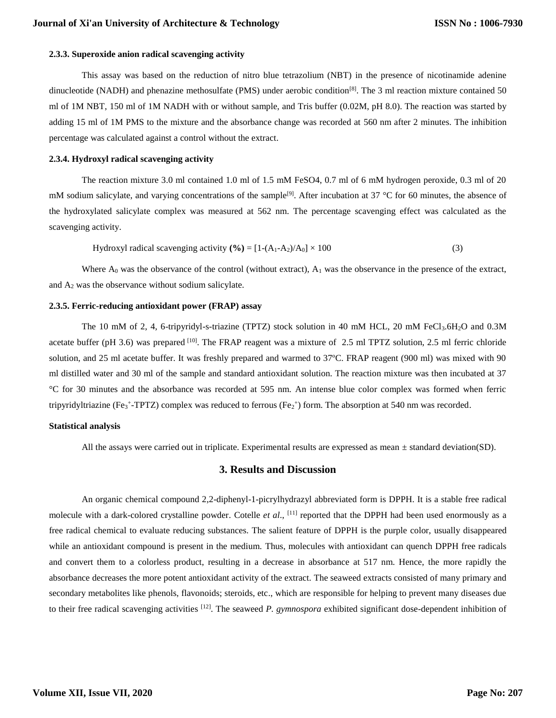## **2.3.3. Superoxide anion radical scavenging activity**

This assay was based on the reduction of nitro blue tetrazolium (NBT) in the presence of nicotinamide adenine dinucleotide (NADH) and phenazine methosulfate (PMS) under aerobic condition<sup>[8]</sup>. The 3 ml reaction mixture contained 50 ml of 1M NBT, 150 ml of 1M NADH with or without sample, and Tris buffer (0.02M, pH 8.0). The reaction was started by adding 15 ml of 1M PMS to the mixture and the absorbance change was recorded at 560 nm after 2 minutes. The inhibition percentage was calculated against a control without the extract.

## **2.3.4. Hydroxyl radical scavenging activity**

The reaction mixture 3.0 ml contained 1.0 ml of 1.5 mM FeSO4, 0.7 ml of 6 mM hydrogen peroxide, 0.3 ml of 20 mM sodium salicylate, and varying concentrations of the sample<sup>[9]</sup>. After incubation at 37 °C for 60 minutes, the absence of the hydroxylated salicylate complex was measured at 562 nm. The percentage scavenging effect was calculated as the scavenging activity.

Hydroxyl radical scavenging activity (
$$
% = [1-(A1-A2)/A0] \times 100
$$
 (3)

Where  $A_0$  was the observance of the control (without extract),  $A_1$  was the observance in the presence of the extract, and  $A_2$  was the observance without sodium salicylate.

#### **2.3.5. Ferric-reducing antioxidant power (FRAP) assay**

The 10 mM of 2, 4, 6-tripyridyl-s-triazine (TPTZ) stock solution in 40 mM HCL, 20 mM FeCl<sub>3</sub>.6H<sub>2</sub>O and 0.3M acetate buffer (pH 3.6) was prepared  $^{[10]}$ . The FRAP reagent was a mixture of 2.5 ml TPTZ solution, 2.5 ml ferric chloride solution, and 25 ml acetate buffer. It was freshly prepared and warmed to 37ºC. FRAP reagent (900 ml) was mixed with 90 ml distilled water and 30 ml of the sample and standard antioxidant solution. The reaction mixture was then incubated at 37 °C for 30 minutes and the absorbance was recorded at 595 nm. An intense blue color complex was formed when ferric tripyridyltriazine (Fe<sub>3</sub>+-TPTZ) complex was reduced to ferrous (Fe<sub>2</sub>+) form. The absorption at 540 nm was recorded.

## **Statistical analysis**

All the assays were carried out in triplicate. Experimental results are expressed as mean  $\pm$  standard deviation(SD).

## **3. Results and Discussion**

An organic chemical compound 2,2-diphenyl-1-picrylhydrazyl abbreviated form is DPPH. It is a stable free radical molecule with a dark-colored crystalline powder. Cotelle *et al*., [11] reported that the DPPH had been used enormously as a free radical chemical to evaluate reducing substances. The salient feature of DPPH is the purple color, usually disappeared while an antioxidant compound is present in the medium. Thus, molecules with antioxidant can quench DPPH free radicals and convert them to a colorless product, resulting in a decrease in absorbance at 517 nm. Hence, the more rapidly the absorbance decreases the more potent antioxidant activity of the extract. The seaweed extracts consisted of many primary and secondary metabolites like phenols, flavonoids; steroids, etc., which are responsible for helping to prevent many diseases due to their free radical scavenging activities [12] . The seaweed *P. gymnospora* exhibited significant dose-dependent inhibition of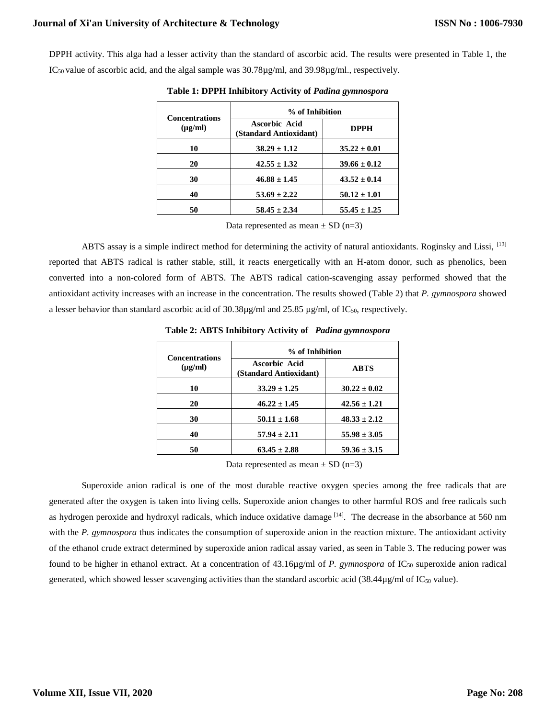# **Journal of Xi'an University of Architecture & Technology**

DPPH activity. This alga had a lesser activity than the standard of ascorbic acid. The results were presented in Table 1, the  $IC_{50}$  value of ascorbic acid, and the algal sample was  $30.78\mu g/ml$ , and  $39.98\mu g/ml$ ., respectively.

| <b>Concentrations</b><br>$(\mu g/ml)$ | % of Inhibition                         |                  |
|---------------------------------------|-----------------------------------------|------------------|
|                                       | Ascorbic Acid<br>(Standard Antioxidant) | <b>DPPH</b>      |
| 10                                    | $38.29 \pm 1.12$                        | $35.22 \pm 0.01$ |
| 20                                    | $42.55 \pm 1.32$                        | $39.66 \pm 0.12$ |
| 30                                    | $46.88 \pm 1.45$                        | $43.52 \pm 0.14$ |
| 40                                    | $53.69 \pm 2.22$                        | $50.12 \pm 1.01$ |
| 50                                    | $58.45 \pm 2.34$                        | $55.45 \pm 1.25$ |

**Table 1: DPPH Inhibitory Activity of** *Padina gymnospora*

Data represented as mean  $\pm$  SD (n=3)

ABTS assay is a simple indirect method for determining the activity of natural antioxidants. Roginsky and Lissi, <sup>[13]</sup> reported that ABTS radical is rather stable, still, it reacts energetically with an H-atom donor, such as phenolics, been converted into a non-colored form of ABTS. The ABTS radical cation-scavenging assay performed showed that the antioxidant activity increases with an increase in the concentration. The results showed (Table 2) that *P. gymnospora* showed a lesser behavior than standard ascorbic acid of  $30.38\mu\text{g/ml}$  and  $25.85\mu\text{g/ml}$ , of IC<sub>50</sub>, respectively.

| <b>Concentrations</b><br>$(\mu g/ml)$ | % of Inhibition                         |                  |
|---------------------------------------|-----------------------------------------|------------------|
|                                       | Ascorbic Acid<br>(Standard Antioxidant) | <b>ABTS</b>      |
| 10                                    | $33.29 \pm 1.25$                        | $30.22 \pm 0.02$ |
| 20                                    | $46.22 \pm 1.45$                        | $42.56 \pm 1.21$ |
| 30                                    | $50.11 \pm 1.68$                        | $48.33 \pm 2.12$ |
| 40                                    | $57.94 \pm 2.11$                        | $55.98 \pm 3.05$ |
| 50                                    | $63.45 \pm 2.88$                        | $59.36 \pm 3.15$ |

**Table 2: ABTS Inhibitory Activity of** *Padina gymnospora*

Data represented as mean  $\pm$  SD (n=3)

Superoxide anion radical is one of the most durable reactive oxygen species among the free radicals that are generated after the oxygen is taken into living cells. Superoxide anion changes to other harmful ROS and free radicals such as hydrogen peroxide and hydroxyl radicals, which induce oxidative damage [14]. The decrease in the absorbance at 560 nm with the *P. gymnospora* thus indicates the consumption of superoxide anion in the reaction mixture. The antioxidant activity of the ethanol crude extract determined by superoxide anion radical assay varied, as seen in Table 3. The reducing power was found to be higher in ethanol extract. At a concentration of 43.16µg/ml of *P. gymnospora* of IC<sub>50</sub> superoxide anion radical generated, which showed lesser scavenging activities than the standard ascorbic acid (38.44 $\mu$ g/ml of IC<sub>50</sub> value).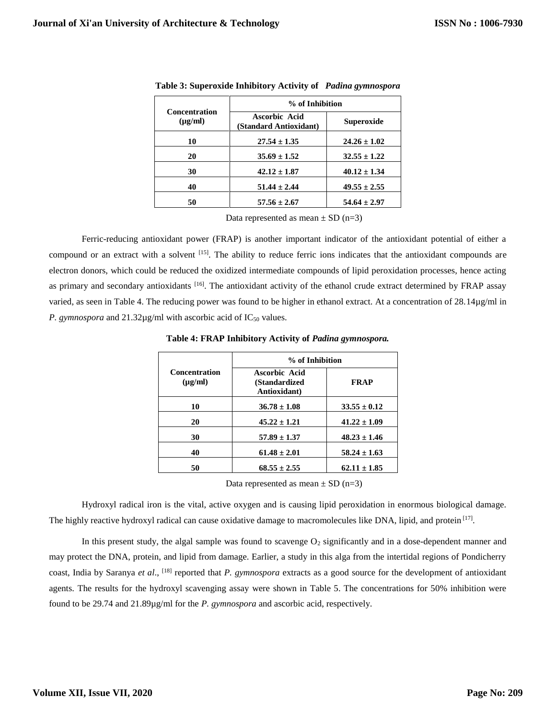| <b>Concentration</b><br>$(\mu g/ml)$ | % of Inhibition                         |                   |
|--------------------------------------|-----------------------------------------|-------------------|
|                                      | Ascorbic Acid<br>(Standard Antioxidant) | <b>Superoxide</b> |
| 10                                   | $27.54 \pm 1.35$                        | $24.26 \pm 1.02$  |
| 20                                   | $35.69 \pm 1.52$                        | $32.55 \pm 1.22$  |
| 30                                   | $42.12 \pm 1.87$                        | $40.12 \pm 1.34$  |
| 40                                   | $51.44 \pm 2.44$                        | $49.55 \pm 2.55$  |
| 50                                   | $57.56 \pm 2.67$                        | $54.64 \pm 2.97$  |

**Table 3: Superoxide Inhibitory Activity of** *Padina gymnospora*

Data represented as mean  $\pm$  SD (n=3)

Ferric-reducing antioxidant power (FRAP) is another important indicator of the antioxidant potential of either a compound or an extract with a solvent [15]. The ability to reduce ferric ions indicates that the antioxidant compounds are electron donors, which could be reduced the oxidized intermediate compounds of lipid peroxidation processes, hence acting as primary and secondary antioxidants <sup>[16]</sup>. The antioxidant activity of the ethanol crude extract determined by FRAP assay varied, as seen in Table 4. The reducing power was found to be higher in ethanol extract. At a concentration of 28.14µg/ml in *P. gymnospora* and  $21.32\mu$ g/ml with ascorbic acid of IC<sub>50</sub> values.

| <b>Concentration</b><br>$(\mu g/ml)$ | % of Inhibition                                |                  |
|--------------------------------------|------------------------------------------------|------------------|
|                                      | Ascorbic Acid<br>(Standardized<br>Antioxidant) | <b>FRAP</b>      |
| 10                                   | $36.78 \pm 1.08$                               | $33.55 \pm 0.12$ |
| 20                                   | $45.22 \pm 1.21$                               | $41.22 \pm 1.09$ |
| 30                                   | $57.89 \pm 1.37$                               | $48.23 \pm 1.46$ |
| 40                                   | $61.48 \pm 2.01$                               | $58.24 \pm 1.63$ |
| 50                                   | $68.55 \pm 2.55$                               | $62.11 \pm 1.85$ |

**Table 4: FRAP Inhibitory Activity of** *Padina gymnospora.*

Data represented as mean  $\pm$  SD (n=3)

Hydroxyl radical iron is the vital, active oxygen and is causing lipid peroxidation in enormous biological damage. The highly reactive hydroxyl radical can cause oxidative damage to macromolecules like DNA, lipid, and protein [17].

In this present study, the algal sample was found to scavenge  $O_2$  significantly and in a dose-dependent manner and may protect the DNA, protein, and lipid from damage. Earlier, a study in this alga from the intertidal regions of Pondicherry coast, India by Saranya *et al*., [18] reported that *P. gymnospora* extracts as a good source for the development of antioxidant agents. The results for the hydroxyl scavenging assay were shown in Table 5. The concentrations for 50% inhibition were found to be 29.74 and 21.89µg/ml for the *P. gymnospora* and ascorbic acid, respectively.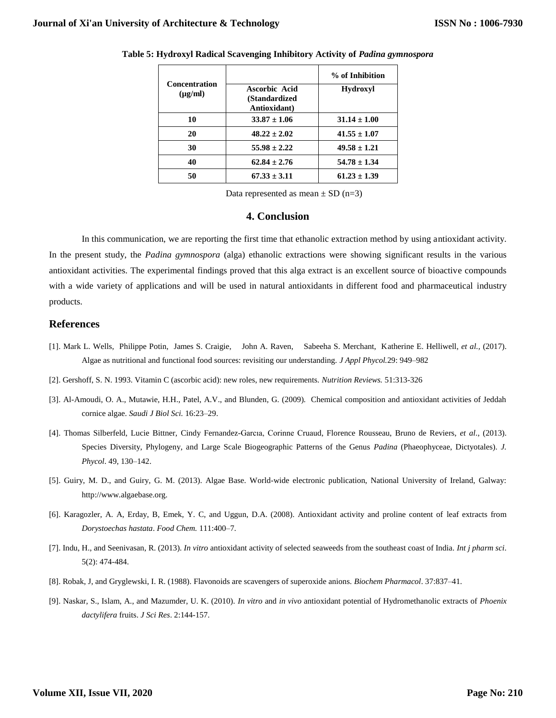|                                                       | % of Inhibition  |
|-------------------------------------------------------|------------------|
| <b>Ascorbic Acid</b><br>(Standardized<br>Antioxidant) | <b>Hydroxyl</b>  |
| $33.87 \pm 1.06$                                      | $31.14 \pm 1.00$ |
| $48.22 \pm 2.02$                                      | $41.55 \pm 1.07$ |
| $55.98 \pm 2.22$                                      | $49.58 \pm 1.21$ |
| $62.84 \pm 2.76$                                      | $54.78 \pm 1.34$ |
| $67.33 \pm 3.11$                                      | $61.23 \pm 1.39$ |
|                                                       |                  |

#### **Table 5: Hydroxyl Radical Scavenging Inhibitory Activity of** *Padina gymnospora*

Data represented as mean  $\pm$  SD (n=3)

## **4. Conclusion**

In this communication, we are reporting the first time that ethanolic extraction method by using antioxidant activity. In the present study, the *Padina gymnospora* (alga) ethanolic extractions were showing significant results in the various antioxidant activities. The experimental findings proved that this alga extract is an excellent source of bioactive compounds with a wide variety of applications and will be used in natural antioxidants in different food and pharmaceutical industry products.

## **References**

- [1]. Mark L. Wells, Philippe Potin, James S. Craigie, John A. Raven, Sabeeha S. Merchant, Katherine E. Helliwell, *et al.,* (2017). Algae as nutritional and functional food sources: revisiting our understanding. *J Appl Phycol.*29: 949–982
- [2]. Gershoff, S. N. 1993. Vitamin C (ascorbic acid): new roles, new requirements. *Nutrition Reviews.* 51:313-326
- [3]. Al-Amoudi, O. A., Mutawie, H.H., Patel, A.V., and Blunden, G. (2009). Chemical composition and antioxidant activities of Jeddah cornice algae. *Saudi J Biol Sci.* 16:23–29.
- [4]. Thomas Silberfeld, Lucie Bittner, Cindy Fernandez-Garcıa, Corinne Cruaud, Florence Rousseau, Bruno de Reviers, *et al*., (2013). Species Diversity, Phylogeny, and Large Scale Biogeographic Patterns of the Genus *Padina* (Phaeophyceae, Dictyotales). *J. Phycol*. 49, 130–142.
- [5]. Guiry, M. D., and Guiry, G. M. (2013). Algae Base. World-wide electronic publication, National University of Ireland, Galway: [http://www.algaebase.org.](http://www.algaebase.org/)
- [6]. Karagozler, A. A, Erday, B, Emek, Y. C, and Uggun, D.A. (2008). Antioxidant activity and proline content of leaf extracts from *Dorystoechas hastata*. *Food Chem.* 111:400–7.
- [7]. Indu, H., and Seenivasan, R. (2013). *In vitro* antioxidant activity of selected seaweeds from the southeast coast of India. *Int j pharm sci*. 5(2): 474-484.
- [8]. Robak, J, and Gryglewski, I. R. (1988). Flavonoids are scavengers of superoxide anions. *Biochem Pharmacol*. 37:837–41.
- [9]. Naskar, S., Islam, A., and Mazumder, U. K. (2010). *In vitro* and *in vivo* antioxidant potential of Hydromethanolic extracts of *Phoenix dactylifera* fruits. *J Sci Res*. 2:144-157.